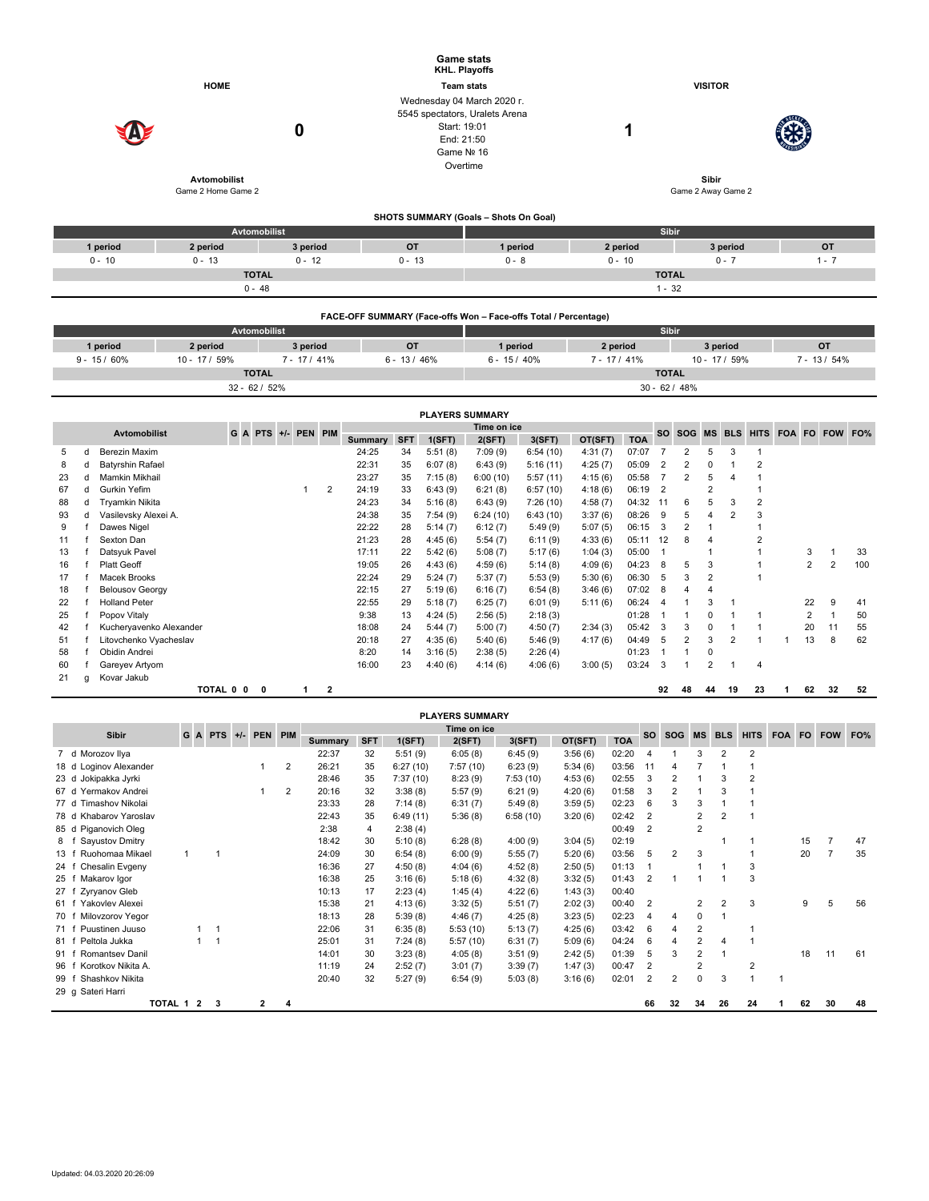| <b>HOME</b><br>0<br>Avtomobilist                 |                                                                                          |   |                                                       |                                 |                     | <b>Game stats</b><br><b>KHL. Playoffs</b><br><b>Team stats</b><br>Wednesday 04 March 2020 r.<br>5545 spectators, Uralets Arena<br>Start: 19:01<br>End: 21:50<br>Game Nº 16<br>Overtime |                                |                    |                          |                                              | <b>VISITOR</b><br>1<br>Sibir  |                               |                     |                     |                                           |                                                    |                         |                                |              |                |                     |     |
|--------------------------------------------------|------------------------------------------------------------------------------------------|---|-------------------------------------------------------|---------------------------------|---------------------|----------------------------------------------------------------------------------------------------------------------------------------------------------------------------------------|--------------------------------|--------------------|--------------------------|----------------------------------------------|-------------------------------|-------------------------------|---------------------|---------------------|-------------------------------------------|----------------------------------------------------|-------------------------|--------------------------------|--------------|----------------|---------------------|-----|
|                                                  |                                                                                          |   | Game 2 Home Game 2                                    |                                 |                     |                                                                                                                                                                                        |                                |                    |                          |                                              |                               |                               | Game 2 Away Game 2  |                     |                                           |                                                    |                         |                                |              |                |                     |     |
|                                                  |                                                                                          |   |                                                       |                                 |                     |                                                                                                                                                                                        |                                |                    |                          | <b>SHOTS SUMMARY (Goals - Shots On Goal)</b> |                               |                               |                     |                     |                                           |                                                    |                         |                                |              |                |                     |     |
| Avtomobilist<br>1 period<br>3 period<br>2 period |                                                                                          |   |                                                       |                                 |                     |                                                                                                                                                                                        | <b>OT</b><br>1 period          |                    |                          |                                              | Sibir<br>2 period<br>3 period |                               |                     |                     |                                           |                                                    | <b>OT</b>               |                                |              |                |                     |     |
|                                                  | $0 - 10$<br>$0 - 13$<br>$0 - 12$                                                         |   |                                                       |                                 | $0 - 13$<br>$0 - 8$ |                                                                                                                                                                                        |                                | $0 - 10$           |                          |                                              |                               |                               | $0 - 7$             |                     |                                           |                                                    | $1 - 7$                 |                                |              |                |                     |     |
| <b>TOTAL</b><br>$0 - 48$                         |                                                                                          |   |                                                       |                                 |                     |                                                                                                                                                                                        |                                |                    | <b>TOTAL</b><br>$1 - 32$ |                                              |                               |                               |                     |                     |                                           |                                                    |                         |                                |              |                |                     |     |
|                                                  |                                                                                          |   |                                                       |                                 |                     |                                                                                                                                                                                        |                                |                    |                          |                                              |                               |                               |                     |                     |                                           |                                                    |                         |                                |              |                |                     |     |
|                                                  | FACE-OFF SUMMARY (Face-offs Won - Face-offs Total / Percentage)<br>Avtomobilist<br>Sibir |   |                                                       |                                 |                     |                                                                                                                                                                                        |                                |                    |                          |                                              |                               |                               |                     |                     |                                           |                                                    |                         |                                |              |                |                     |     |
|                                                  | 1 period                                                                                 |   | 2 period                                              |                                 |                     | 3 period                                                                                                                                                                               |                                | <b>OT</b>          |                          | 1 period                                     |                               |                               | 2 period            |                     |                                           |                                                    | 3 period                |                                |              |                | OT                  |     |
|                                                  | $9 - 15/60\%$                                                                            |   | 10 - 17 / 59%                                         |                                 |                     | $7 - 17/41%$                                                                                                                                                                           | $6 - 13 / 46%$<br>$6 - 15/40%$ |                    |                          |                                              |                               | $7 - 17/41%$<br>10 - 17 / 59% |                     |                     |                                           |                                                    |                         | $7 - 13 / 54%$                 |              |                |                     |     |
|                                                  |                                                                                          |   |                                                       | <b>TOTAL</b><br>$32 - 62 / 52%$ |                     |                                                                                                                                                                                        |                                |                    |                          |                                              |                               |                               |                     | <b>TOTAL</b>        | $30 - 62 / 48%$                           |                                                    |                         |                                |              |                |                     |     |
|                                                  |                                                                                          |   |                                                       |                                 |                     |                                                                                                                                                                                        |                                |                    |                          |                                              |                               |                               |                     |                     |                                           |                                                    |                         |                                |              |                |                     |     |
|                                                  |                                                                                          |   |                                                       |                                 |                     |                                                                                                                                                                                        |                                |                    | <b>PLAYERS SUMMARY</b>   | Time on ice                                  |                               |                               |                     |                     |                                           |                                                    |                         |                                |              |                |                     |     |
|                                                  | <b>Avtomobilist</b>                                                                      |   |                                                       | G<br>$\mathbf{A}$<br><b>PTS</b> | $+/-$               | <b>PEN</b><br><b>PIM</b>                                                                                                                                                               | <b>Summary</b>                 | <b>SFT</b>         | 1(SFT)                   | 2(SFT)                                       | 3(SFT)                        | OT(SFT)                       | <b>TOA</b>          | <b>SO</b>           | <b>SOG</b>                                | <b>MS</b>                                          | <b>BLS</b>              |                                |              |                | HITS FOA FO FOW FO% |     |
| 5<br>8                                           | Berezin Maxim<br>d<br><b>Batyrshin Rafael</b><br>d                                       |   |                                                       |                                 |                     |                                                                                                                                                                                        | 24:25<br>22:31                 | 34<br>35           | 5:51(8)<br>6:07(8)       | 7:09(9)<br>6:43(9)                           | 6:54(10)<br>5:16(11)          | 4:31(7)<br>4:25(7)            | 07:07<br>05:09      | 7<br>$\overline{2}$ | $\overline{\mathbf{c}}$<br>$\overline{2}$ | 5<br>$\mathsf 0$                                   | 3<br>1                  | $\mathbf{1}$<br>$\overline{2}$ |              |                |                     |     |
| 23                                               | d<br>Mamkin Mikhail                                                                      |   |                                                       |                                 |                     |                                                                                                                                                                                        | 23:27                          | 35                 | 7:15(8)                  | 6:00(10)                                     | 5:57(11)                      | 4:15(6)                       | 05:58               | $\overline{7}$      | $\overline{2}$                            | 5                                                  | 4                       | $\mathbf{1}$                   |              |                |                     |     |
| 67                                               | Gurkin Yefim<br>d                                                                        |   |                                                       |                                 |                     | $\overline{2}$<br>$\mathbf{1}$                                                                                                                                                         | 24:19                          | 33                 | 6:43(9)                  | 6:21(8)                                      | 6:57(10)                      | 4:18(6)                       | 06:19               | $\overline{2}$      |                                           | $\overline{2}$                                     |                         | $\mathbf 1$                    |              |                |                     |     |
| 88                                               | Tryamkin Nikita<br>d                                                                     |   |                                                       |                                 |                     |                                                                                                                                                                                        | 24:23                          | 34                 | 5:16(8)                  | 6:43(9)                                      | 7:26(10)                      | 4:58(7)                       | 04:32               | 11                  | 6<br>5                                    | 5<br>4                                             | 3<br>$\overline{2}$     | $\boldsymbol{2}$               |              |                |                     |     |
| 93<br>9                                          | Vasilevsky Alexei A.<br>d<br>Dawes Nigel<br>f                                            |   |                                                       |                                 |                     |                                                                                                                                                                                        | 24:38<br>22:22                 | 35<br>28           | 7:54(9)<br>5:14(7)       | 6:24(10)<br>6:12(7)                          | 6:43(10)<br>5:49(9)           | 3:37(6)<br>5:07(5)            | 08:26<br>06:15      | 9<br>3              | 2                                         | $\mathbf{1}$                                       |                         | 3<br>$\mathbf{1}$              |              |                |                     |     |
| 11                                               | Sexton Dan<br>f                                                                          |   |                                                       |                                 |                     |                                                                                                                                                                                        | 21:23                          | 28                 | 4:45(6)                  | 5:54(7)                                      | 6:11(9)                       | 4:33(6)                       | 05:11               | 12                  | 8                                         | $\overline{4}$                                     |                         | $\overline{2}$                 |              |                |                     |     |
| 13                                               | Datsyuk Pavel<br>f                                                                       |   |                                                       |                                 |                     |                                                                                                                                                                                        | 17:11                          | 22                 | 5:42(6)                  | 5:08(7)                                      | 5:17(6)                       | 1:04(3)                       | 05:00               | $\mathbf{1}$        |                                           | $\mathbf{1}$                                       |                         | $\mathbf{1}$                   |              | 3              | $\mathbf{1}$        | 33  |
| 16                                               | Platt Geoff<br>f                                                                         |   |                                                       |                                 |                     |                                                                                                                                                                                        | 19:05                          | 26                 | 4:43(6)                  | 4:59(6)                                      | 5:14(8)                       | 4:09(6)                       | 04:23               | 8                   | 5                                         | 3                                                  |                         | $\mathbf 1$                    |              | $\overline{2}$ | $\overline{2}$      | 100 |
| 17                                               | $\mathsf{f}$<br>Macek Brooks<br>f                                                        |   |                                                       |                                 |                     |                                                                                                                                                                                        | 22:24<br>22:15                 | 29<br>27           | 5:24(7)                  | 5:37(7)                                      | 5:53(9)                       | 5:30(6)                       | 06:30<br>07:02      | 5<br>8              | 3<br>4                                    | 2<br>4                                             |                         | $\mathbf 1$                    |              |                |                     |     |
| 18<br>22                                         | <b>Belousov Georgy</b><br>f<br><b>Holland Peter</b>                                      |   |                                                       |                                 |                     |                                                                                                                                                                                        | 22:55                          | 29                 | 5:19(6)<br>5:18(7)       | 6:16(7)<br>6:25(7)                           | 6:54(8)<br>6:01(9)            | 3:46(6)<br>5:11(6)            | 06:24               | $\overline{4}$      | 1                                         | 3                                                  | 1                       |                                |              | 22             | 9                   | 41  |
| 25                                               | Popov Vitaly<br>f                                                                        |   |                                                       |                                 |                     |                                                                                                                                                                                        | 9:38                           | 13                 | 4:24(5)                  | 2:56(5)                                      | 2:18(3)                       |                               | 01:28               | $\mathbf{1}$        | $\mathbf{1}$                              | 0                                                  | $\mathbf{1}$            | $\mathbf 1$                    |              | $\overline{2}$ | $\mathbf{1}$        | 50  |
| 42                                               | Kucheryavenko Alexander<br>f                                                             |   |                                                       |                                 |                     |                                                                                                                                                                                        | 18:08                          | 24                 | 5:44(7)                  | 5:00(7)                                      | 4:50(7)                       | 2:34(3)                       | 05:42               | 3                   | 3                                         | $\mathbf 0$                                        | $\mathbf{1}$            | $\mathbf{1}$                   |              | 20             | 11                  | 55  |
| 51                                               | Litovchenko Vyacheslav<br>f                                                              |   |                                                       |                                 |                     |                                                                                                                                                                                        | 20:18                          | 27                 | 4:35(6)                  | 5:40(6)                                      | 5:46(9)                       | 4:17(6)                       | 04:49               | 5                   | $\overline{2}$                            | 3                                                  | $\overline{2}$          | $\mathbf{1}$                   | 1            | 13             | 8                   | 62  |
| 58<br>60                                         | f<br>Obidin Andrei<br>Gareyev Artyom<br>f                                                |   |                                                       |                                 |                     |                                                                                                                                                                                        | 8:20<br>16:00                  | 14<br>23           | 3:16(5)<br>4:40(6)       | 2:38(5)<br>4:14(6)                           | 2:26(4)<br>4:06(6)            | 3:00(5)                       | 01:23<br>03:24      | $\mathbf{1}$<br>3   | $\mathbf{1}$<br>1                         | 0<br>$\overline{\mathbf{c}}$                       | 1                       | 4                              |              |                |                     |     |
| 21                                               | Kovar Jakub<br>g                                                                         |   |                                                       |                                 |                     |                                                                                                                                                                                        |                                |                    |                          |                                              |                               |                               |                     |                     |                                           |                                                    |                         |                                |              |                |                     |     |
|                                                  |                                                                                          |   | TOTAL 0 0                                             | 0                               |                     | $\mathbf{2}$<br>1                                                                                                                                                                      |                                |                    |                          |                                              |                               |                               |                     | 92                  | 48                                        | 44                                                 | 19                      | 23                             | 1            | 62             | 32                  | 52  |
|                                                  |                                                                                          |   |                                                       |                                 |                     |                                                                                                                                                                                        |                                |                    | <b>PLAYERS SUMMARY</b>   |                                              |                               |                               |                     |                     |                                           |                                                    |                         |                                |              |                |                     |     |
|                                                  | <b>Sibir</b>                                                                             | G | <b>PTS</b><br>A                                       | <b>PEN</b><br>$+/-$             | <b>PIM</b>          |                                                                                                                                                                                        |                                |                    |                          | Time on ice                                  |                               |                               |                     | <b>SO</b>           | <b>SOG</b>                                | <b>MS</b>                                          | <b>BLS</b>              | <b>HITS</b>                    | FOA FO       |                | <b>FOW</b>          | FO% |
| 7                                                | d Morozov Ilya                                                                           |   |                                                       |                                 |                     | <b>Summary</b><br>22:37                                                                                                                                                                | <b>SFT</b><br>32               | 1(SFT)<br>5:51(9)  |                          | 2(SFT)<br>6:05(8)                            | 3(SFT)<br>6:45(9)             | OT(SFT)<br>3:56(6)            | <b>TOA</b><br>02:20 | 4                   | $\mathbf 1$                               | 3                                                  | $\overline{\mathbf{c}}$ | $\overline{2}$                 |              |                |                     |     |
|                                                  | 18 d Loginov Alexander                                                                   |   |                                                       | 1                               | $\overline{c}$      | 26:21                                                                                                                                                                                  | 35                             | 6:27(10)           |                          | 7:57 (10)                                    | 6:23(9)                       | 5:34(6)                       | 03:56               | 11                  | 4                                         | 7                                                  | 1                       | $\mathbf{1}$                   |              |                |                     |     |
|                                                  | 23 d Jokipakka Jyrki                                                                     |   |                                                       |                                 |                     | 28:46                                                                                                                                                                                  | 35                             | 7:37(10)           |                          | 8:23(9)                                      | 7:53(10)                      | 4:53(6)                       | 02:55               | 3                   | $\boldsymbol{2}$                          | 1                                                  | 3                       | $\boldsymbol{2}$               |              |                |                     |     |
|                                                  | 67 d Yermakov Andrei<br>77 d Timashov Nikolai                                            |   |                                                       | 1                               | 2                   | 20:16<br>23:33                                                                                                                                                                         | 32<br>28                       | 3:38(8)<br>7:14(8) |                          | 5:57(9)<br>6:31(7)                           | 6:21(9)<br>5:49(8)            | 4:20(6)<br>3:59(5)            | 01:58<br>02:23      | 3<br>6              | 2<br>3                                    | $\mathbf{1}$<br>3                                  | 3<br>$\mathbf{1}$       | $\mathbf{1}$<br>$\mathbf{1}$   |              |                |                     |     |
|                                                  | 78 d Khabarov Yaroslav                                                                   |   |                                                       |                                 |                     | 22:43                                                                                                                                                                                  | 35                             | 6:49(11)           |                          | 5:36(8)                                      | 6:58(10)                      | 3:20(6)                       | 02:42               | $\overline{2}$      |                                           | 2                                                  | $\overline{2}$          | $\mathbf{1}$                   |              |                |                     |     |
|                                                  | 85 d Piganovich Oleg                                                                     |   |                                                       |                                 |                     | 2:38                                                                                                                                                                                   | 4                              | 2:38(4)            |                          |                                              |                               |                               | 00:49               | $\overline{2}$      |                                           | $\overline{2}$                                     |                         |                                |              |                |                     |     |
|                                                  | 8 f Sayustov Dmitry                                                                      |   |                                                       |                                 |                     | 18:42                                                                                                                                                                                  | 30                             | 5:10(8)            |                          | 6:28(8)                                      | 4:00(9)                       | 3:04(5)                       | 02:19               |                     |                                           |                                                    | $\mathbf{1}$            | $\mathbf{1}$                   |              | 15             | $\overline{7}$      | 47  |
| 13 f                                             | Ruohomaa Mikael<br>24 f Chesalin Evgeny                                                  | 1 | $\overline{1}$                                        |                                 |                     | 24:09<br>16:36                                                                                                                                                                         | 30<br>27                       | 6:54(8)<br>4:50(8) |                          | 6:00(9)<br>4:04(6)                           | 5:55(7)<br>4:52(8)            | 5:20(6)<br>2:50(5)            | 03:56<br>01:13      | 5<br>$\mathbf{1}$   | $\mathbf 2$                               | 3<br>1                                             | $\mathbf{1}$            | $\mathbf{1}$<br>3              |              | 20             | $\overline{7}$      | 35  |
|                                                  | 25 f Makarov Igor                                                                        |   |                                                       |                                 |                     | 16:38                                                                                                                                                                                  | 25                             | 3:16(6)            |                          | 5:18(6)                                      | 4:32(8)                       | 3:32(5)                       | 01:43               | $\mathbf 2$         | $\mathbf{1}$                              | 1                                                  | $\mathbf{1}$            | 3                              |              |                |                     |     |
|                                                  | 27 f Zyryanov Gleb                                                                       |   |                                                       |                                 |                     | 10:13                                                                                                                                                                                  | 17                             | 2:23(4)            |                          | 1:45(4)                                      | 4:22(6)                       | 1:43(3)                       | 00:40               |                     |                                           |                                                    |                         |                                |              |                |                     |     |
|                                                  | 61 f Yakovlev Alexei                                                                     |   |                                                       |                                 |                     | 15:38                                                                                                                                                                                  | 21                             | 4:13(6)            |                          | 3:32(5)                                      | 5:51(7)                       | 2:02(3)                       | 00:40               | 2                   |                                           | $\overline{\mathbf{c}}$                            | $\overline{\mathbf{c}}$ | 3                              |              | 9              | 5                   | 56  |
|                                                  | 70 f Milovzorov Yegor                                                                    |   |                                                       |                                 |                     | 18:13                                                                                                                                                                                  | 28                             | 5:39(8)            |                          | 4:46(7)                                      | 4:25(8)                       | 3:23(5)                       | 02:23               | 4                   | $\overline{4}$                            | 0                                                  | $\mathbf{1}$            |                                |              |                |                     |     |
|                                                  | 71 f Puustinen Juuso<br>81 f Peltola Jukka                                               |   | 1<br>$\overline{1}$<br>$\mathbf{1}$<br>$\overline{1}$ |                                 |                     | 22:06<br>25:01                                                                                                                                                                         | 31<br>31                       | 6:35(8)<br>7:24(8) |                          | 5:53(10)<br>5:57(10)                         | 5:13(7)<br>6:31(7)            | 4:25(6)<br>5:09(6)            | 03:42<br>04:24      | 6<br>6              | $\overline{4}$<br>$\overline{4}$          | $\overline{\mathbf{c}}$<br>$\overline{\mathbf{c}}$ | 4                       | $\mathbf{1}$<br>$\mathbf{1}$   |              |                |                     |     |
|                                                  | 91 f Romantsev Danil                                                                     |   |                                                       |                                 |                     | 14:01                                                                                                                                                                                  | 30                             | 3:23(8)            |                          | 4:05(8)                                      | 3:51(9)                       | 2:42(5)                       | 01:39               | 5                   | 3                                         | 2                                                  | $\mathbf{1}$            |                                |              | 18             | 11                  | 61  |
|                                                  | 96 f Korotkov Nikita A.                                                                  |   |                                                       |                                 |                     | 11:19                                                                                                                                                                                  | 24                             | 2:52(7)            |                          | 3:01(7)                                      | 3:39(7)                       | 1:47(3)                       | 00:47               | $\overline{2}$      |                                           | 2                                                  |                         | $\overline{c}$                 |              |                |                     |     |
|                                                  | 99 f Shashkov Nikita<br>29 g Sateri Harri                                                |   |                                                       |                                 |                     | 20:40                                                                                                                                                                                  | 32                             | 5:27(9)            |                          | 6:54(9)                                      | 5:03(8)                       | 3:16(6)                       | 02:01               | $\mathbf 2$         | $\overline{2}$                            | 0                                                  | 3                       | $\mathbf{1}$                   | $\mathbf{1}$ |                |                     |     |
|                                                  |                                                                                          |   |                                                       |                                 |                     |                                                                                                                                                                                        |                                |                    |                          |                                              |                               |                               |                     |                     |                                           |                                                    |                         |                                |              |                |                     |     |

**TOTAL 1 2 3 2 4 66 32 34 26 24 1 62 30 48**